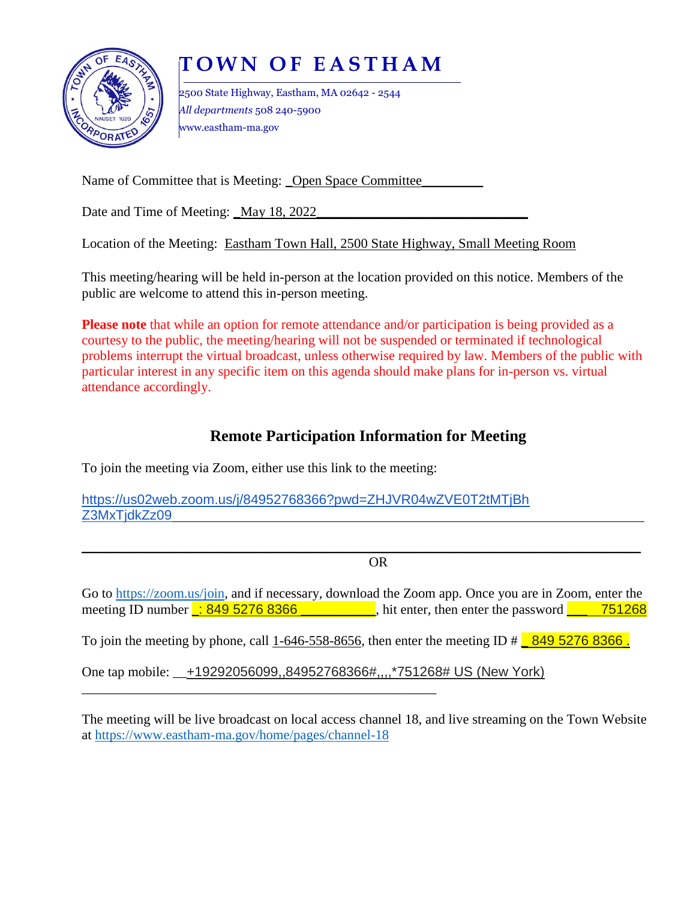

# **T O W N O F E A S T H A M**

2500 State Highway, Eastham, MA 02642 - 2544 *All departments* 508 240-5900 www.eastham-ma.gov

Name of Committee that is Meeting: \_Open Space Committee\_\_\_\_\_\_\_\_\_\_\_\_\_\_\_\_\_\_\_\_\_\_\_\_

Date and Time of Meeting: \_May 18, 2022\_\_\_\_\_\_\_\_\_\_\_\_\_\_\_\_\_\_\_\_\_\_\_\_\_\_\_\_\_\_\_

Location of the Meeting: Eastham Town Hall, 2500 State Highway, Small Meeting Room

This meeting/hearing will be held in-person at the location provided on this notice. Members of the public are welcome to attend this in-person meeting.

**Please note** that while an option for remote attendance and/or participation is being provided as a courtesy to the public, the meeting/hearing will not be suspended or terminated if technological problems interrupt the virtual broadcast, unless otherwise required by law. Members of the public with particular interest in any specific item on this agenda should make plans for in-person vs. virtual attendance accordingly.

## **Remote Participation Information for Meeting**

To join the meeting via Zoom, either use this link to the meeting:

\_\_\_\_\_\_\_\_\_\_\_\_\_\_\_\_\_\_\_\_\_\_\_\_\_\_\_\_\_\_\_\_\_\_\_\_\_\_\_\_\_\_\_\_\_\_\_\_\_\_\_\_

https://us02web.zoom.us/j/84952768366?pwd=ZHJVR04wZVE0T2tMTjBh Z3MxTidkZz09

\_\_\_\_\_\_\_\_\_\_\_\_\_\_\_\_\_\_\_\_\_\_\_\_\_\_\_\_\_\_\_\_\_\_\_\_\_\_\_\_\_\_\_\_\_\_\_\_\_\_\_\_\_\_\_\_\_\_\_\_\_\_\_\_\_\_\_\_\_\_\_\_\_\_\_\_\_\_\_\_\_\_ OR

Go to [https://zoom.us/join,](https://zoom.us/join) and if necessary, download the Zoom app. Once you are in Zoom, enter the meeting ID number  $\therefore$  849 5276 8366  $\therefore$  hit enter, then enter the password  $\therefore$  751268

To join the meeting by phone, call 1-646-558-8656, then enter the meeting ID  $\#$  849 5276 8366.

One tap mobile: +19292056099,,84952768366#,,,,\*751268# US (New York)

The meeting will be live broadcast on local access channel 18, and live streaming on the Town Website at<https://www.eastham-ma.gov/home/pages/channel-18>